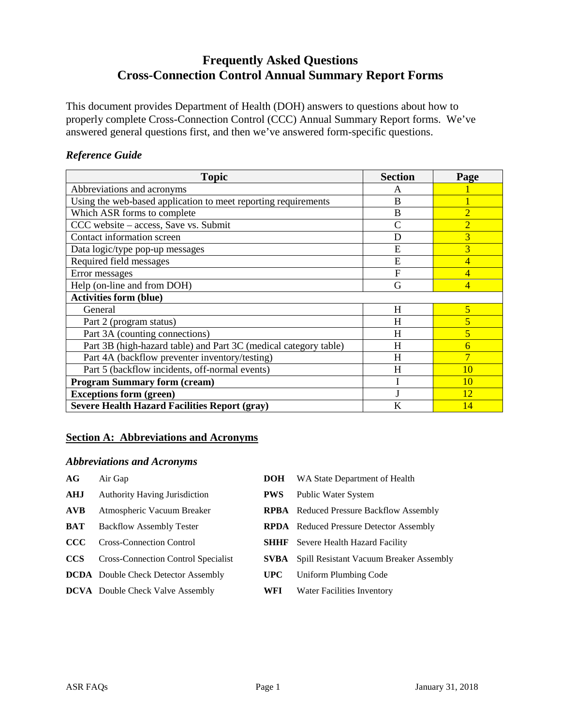# **Frequently Asked Questions Cross-Connection Control Annual Summary Report Forms**

This document provides Department of Health (DOH) answers to questions about how to properly complete Cross-Connection Control (CCC) Annual Summary Report forms. We've answered general questions first, and then we've answered form-specific questions.

## *Reference Guide*

| <b>Topic</b>                                                     | <b>Section</b> | Page           |
|------------------------------------------------------------------|----------------|----------------|
| Abbreviations and acronyms                                       | A              |                |
| Using the web-based application to meet reporting requirements   | B              |                |
| Which ASR forms to complete                                      | B              | $\overline{2}$ |
| CCC website – access, Save vs. Submit                            | $\mathsf{C}$   | $\overline{2}$ |
| Contact information screen                                       | D              | $\overline{3}$ |
| Data logic/type pop-up messages                                  | E              | 3              |
| Required field messages                                          | E              | 4              |
| Error messages                                                   | F              | $\overline{4}$ |
| Help (on-line and from DOH)                                      | G              | $\overline{4}$ |
| <b>Activities form (blue)</b>                                    |                |                |
| General                                                          | H              | 5              |
| Part 2 (program status)                                          | H              | 5              |
| Part 3A (counting connections)                                   | H              | 5              |
| Part 3B (high-hazard table) and Part 3C (medical category table) | H              | 6              |
| Part 4A (backflow preventer inventory/testing)                   | H              | $\overline{7}$ |
| Part 5 (backflow incidents, off-normal events)                   | H              | 10             |
| <b>Program Summary form (cream)</b>                              |                | <b>10</b>      |
| <b>Exceptions form (green)</b>                                   |                | 12             |
| <b>Severe Health Hazard Facilities Report (gray)</b>             | K              | 14             |

# **Section A: Abbreviations and Acronyms**

## *Abbreviations and Acronyms*

| Air Gap                                    | <b>DOH</b>  | WA State Department of Health                       |
|--------------------------------------------|-------------|-----------------------------------------------------|
| <b>Authority Having Jurisdiction</b>       | <b>PWS</b>  | <b>Public Water System</b>                          |
| Atmospheric Vacuum Breaker                 |             | <b>RPBA</b> Reduced Pressure Backflow Assembly      |
| <b>Backflow Assembly Tester</b>            |             | <b>RPDA</b> Reduced Pressure Detector Assembly      |
| <b>Cross-Connection Control</b>            | <b>SHHF</b> | Severe Health Hazard Facility                       |
| Cross-Connection Control Specialist        |             | <b>SVBA</b> Spill Resistant Vacuum Breaker Assembly |
| <b>DCDA</b> Double Check Detector Assembly | <b>UPC</b>  | Uniform Plumbing Code                               |
| <b>DCVA</b> Double Check Valve Assembly    | WFI         | <b>Water Facilities Inventory</b>                   |
|                                            |             |                                                     |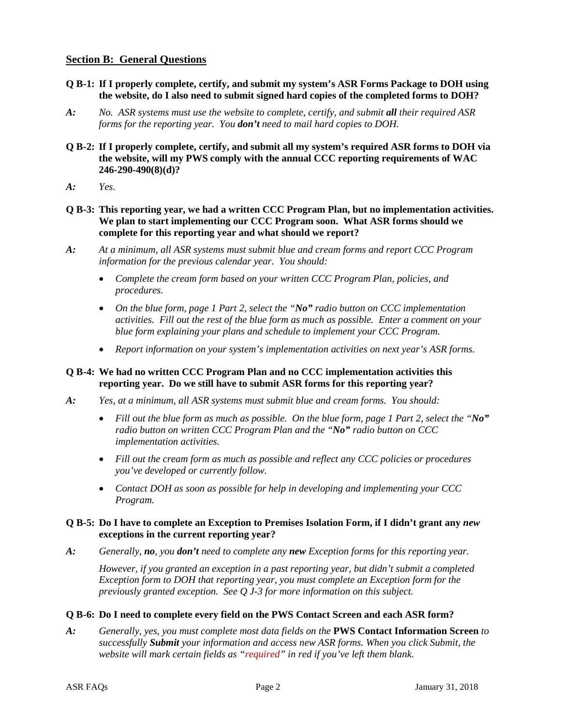## **Section B: General Questions**

- **Q B-1: If I properly complete, certify, and submit my system's ASR Forms Package to DOH using the website, do I also need to submit signed hard copies of the completed forms to DOH?**
- *A: No. ASR systems must use the website to complete, certify, and submit all their required ASR forms for the reporting year. You don't need to mail hard copies to DOH.*
- **Q B-2: If I properly complete, certify, and submit all my system's required ASR forms to DOH via the website, will my PWS comply with the annual CCC reporting requirements of WAC 246-290-490(8)(d)?**
- *A: Yes.*
- **Q B-3: This reporting year, we had a written CCC Program Plan, but no implementation activities. We plan to start implementing our CCC Program soon. What ASR forms should we complete for this reporting year and what should we report?**
- *A: At a minimum, all ASR systems must submit blue and cream forms and report CCC Program information for the previous calendar year. You should:*
	- *Complete the cream form based on your written CCC Program Plan, policies, and procedures.*
	- *On the blue form, page 1 Part 2, select the "No" radio button on CCC implementation activities. Fill out the rest of the blue form as much as possible. Enter a comment on your blue form explaining your plans and schedule to implement your CCC Program.*
	- *Report information on your system's implementation activities on next year's ASR forms.*

#### **Q B-4: We had no written CCC Program Plan and no CCC implementation activities this reporting year. Do we still have to submit ASR forms for this reporting year?**

- *A: Yes, at a minimum, all ASR systems must submit blue and cream forms. You should:*
	- *Fill out the blue form as much as possible. On the blue form, page 1 Part 2, select the "No" radio button on written CCC Program Plan and the "No" radio button on CCC implementation activities.*
	- *Fill out the cream form as much as possible and reflect any CCC policies or procedures you've developed or currently follow.*
	- *Contact DOH as soon as possible for help in developing and implementing your CCC Program.*

#### **Q B-5: Do I have to complete an Exception to Premises Isolation Form, if I didn't grant any** *new* **exceptions in the current reporting year?**

*A: Generally, no, you don't need to complete any new Exception forms for this reporting year.* 

*However, if you granted an exception in a past reporting year, but didn't submit a completed Exception form to DOH that reporting year, you must complete an Exception form for the previously granted exception. See Q J-3 for more information on this subject.*

## **Q B-6: Do I need to complete every field on the PWS Contact Screen and each ASR form?**

*A: Generally, yes, you must complete most data fields on the* **PWS Contact Information Screen** *to successfully Submit your information and access new ASR forms. When you click Submit, the website will mark certain fields as "required" in red if you've left them blank.*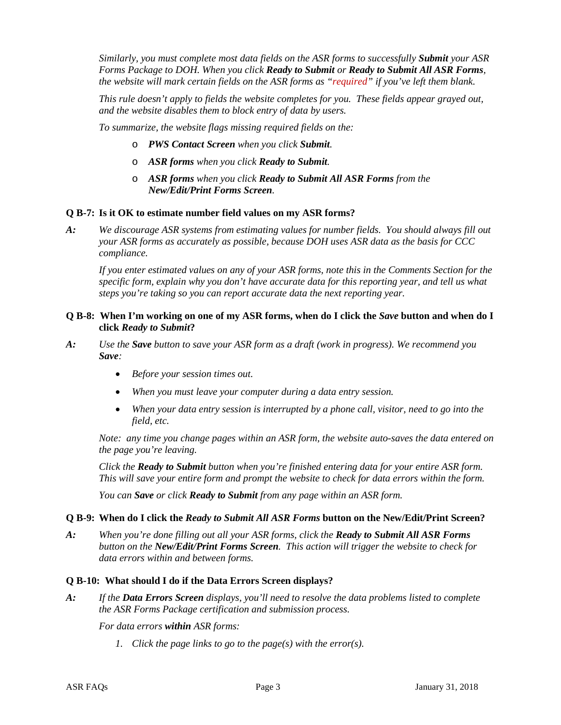*Similarly, you must complete most data fields on the ASR forms to successfully Submit your ASR Forms Package to DOH. When you click Ready to Submit or Ready to Submit All ASR Forms, the website will mark certain fields on the ASR forms as "required" if you've left them blank.*

*This rule doesn't apply to fields the website completes for you. These fields appear grayed out, and the website disables them to block entry of data by users.* 

*To summarize, the website flags missing required fields on the:*

- o *PWS Contact Screen when you click Submit.*
- o *ASR forms when you click Ready to Submit.*
- o *ASR forms when you click Ready to Submit All ASR Forms from the New/Edit/Print Forms Screen.*

#### **Q B-7: Is it OK to estimate number field values on my ASR forms?**

*A: We discourage ASR systems from estimating values for number fields. You should always fill out your ASR forms as accurately as possible, because DOH uses ASR data as the basis for CCC compliance.* 

*If you enter estimated values on any of your ASR forms, note this in the Comments Section for the specific form, explain why you don't have accurate data for this reporting year, and tell us what steps you're taking so you can report accurate data the next reporting year.* 

#### **Q B-8: When I'm working on one of my ASR forms, when do I click the** *Save* **button and when do I click** *Ready to Submit***?**

- *A: Use the Save button to save your ASR form as a draft (work in progress). We recommend you Save:*
	- *Before your session times out.*
	- *When you must leave your computer during a data entry session.*
	- *When your data entry session is interrupted by a phone call, visitor, need to go into the field, etc.*

*Note: any time you change pages within an ASR form, the website auto-saves the data entered on the page you're leaving.*

*Click the Ready to Submit button when you're finished entering data for your entire ASR form. This will save your entire form and prompt the website to check for data errors within the form.* 

*You can Save or click Ready to Submit from any page within an ASR form.* 

#### **Q B-9: When do I click the** *Ready to Submit All ASR Forms* **button on the New/Edit/Print Screen?**

*A: When you're done filling out all your ASR forms, click the Ready to Submit All ASR Forms button on the New/Edit/Print Forms Screen. This action will trigger the website to check for data errors within and between forms.*

#### **Q B-10: What should I do if the Data Errors Screen displays?**

*A: If the Data Errors Screen displays, you'll need to resolve the data problems listed to complete the ASR Forms Package certification and submission process.*

*For data errors within ASR forms:*

*1. Click the page links to go to the page(s) with the error(s).*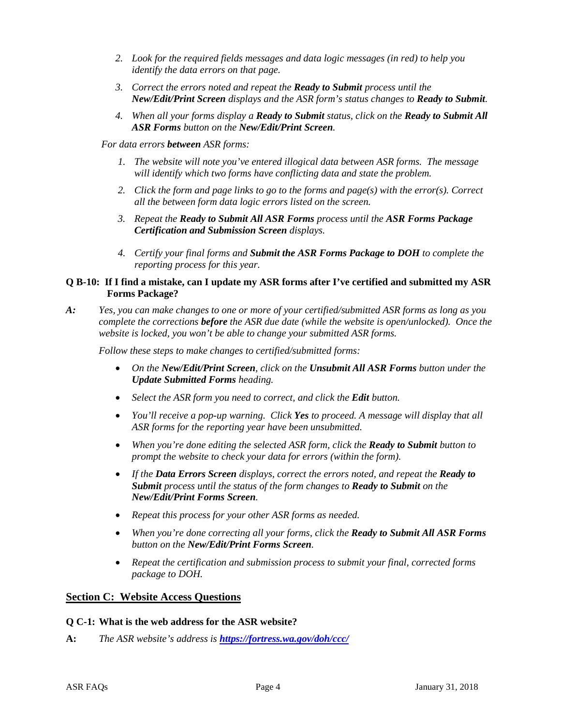- *2. Look for the required fields messages and data logic messages (in red) to help you identify the data errors on that page.*
- *3. Correct the errors noted and repeat the Ready to Submit process until the New/Edit/Print Screen displays and the ASR form's status changes to Ready to Submit.*
- *4. When all your forms display a Ready to Submit status, click on the Ready to Submit All ASR Forms button on the New/Edit/Print Screen.*
- *For data errors between ASR forms:*
	- *1. The website will note you've entered illogical data between ASR forms. The message will identify which two forms have conflicting data and state the problem.*
	- *2. Click the form and page links to go to the forms and page(s) with the error(s). Correct all the between form data logic errors listed on the screen.*
	- *3. Repeat the Ready to Submit All ASR Forms process until the ASR Forms Package Certification and Submission Screen displays.*
	- *4. Certify your final forms and Submit the ASR Forms Package to DOH to complete the reporting process for this year.*

#### **Q B-10: If I find a mistake, can I update my ASR forms after I've certified and submitted my ASR Forms Package?**

*A: Yes, you can make changes to one or more of your certified/submitted ASR forms as long as you complete the corrections before the ASR due date (while the website is open/unlocked). Once the website is locked, you won't be able to change your submitted ASR forms.* 

*Follow these steps to make changes to certified/submitted forms:*

- *On the New/Edit/Print Screen, click on the Unsubmit All ASR Forms button under the Update Submitted Forms heading.*
- *Select the ASR form you need to correct, and click the Edit button.*
- *You'll receive a pop-up warning. Click Yes to proceed. A message will display that all ASR forms for the reporting year have been unsubmitted.*
- *When you're done editing the selected ASR form, click the Ready to Submit button to prompt the website to check your data for errors (within the form).*
- *If the Data Errors Screen displays, correct the errors noted, and repeat the Ready to Submit process until the status of the form changes to Ready to Submit on the New/Edit/Print Forms Screen.*
- *Repeat this process for your other ASR forms as needed.*
- *When you're done correcting all your forms, click the Ready to Submit All ASR Forms button on the New/Edit/Print Forms Screen.*
- *Repeat the certification and submission process to submit your final, corrected forms package to DOH.*

#### **Section C: Website Access Questions**

#### **Q C-1: What is the web address for the ASR website?**

**A:** *The ASR website's address is [https://fortress.wa.gov/doh/ccc/](https://fortress.wa.gov/doh/ccc)*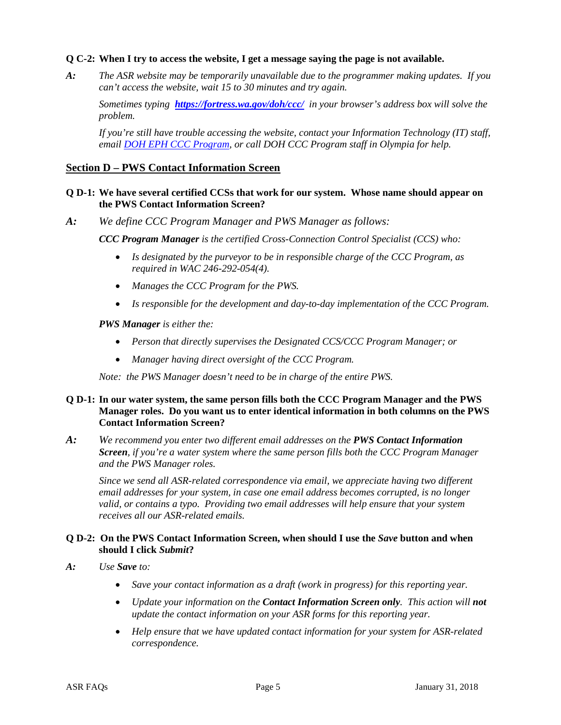#### **Q C-2: When I try to access the website, I get a message saying the page is not available.**

*A: The ASR website may be temporarily unavailable due to the programmer making updates. If you can't access the website, wait 15 to 30 minutes and try again.* 

*Sometimes typing [https://fortress.wa.gov/doh/ccc/](https://fortress.wa.gov/doh/ccc) in your browser's address box will solve the problem.* 

*If you're still have trouble accessing the website, contact your Information Technology (IT) staff, email [DOH EPH CCC Program,](mailto:CCCprogram@DOH.WA.GOV) or call DOH CCC Program staff in Olympia for help.*

#### **Section D – PWS Contact Information Screen**

#### **Q D-1: We have several certified CCSs that work for our system. Whose name should appear on the PWS Contact Information Screen?**

*A: We define CCC Program Manager and PWS Manager as follows:*

*CCC Program Manager is the certified Cross-Connection Control Specialist (CCS) who:*

- *Is designated by the purveyor to be in responsible charge of the CCC Program, as required in WAC 246-292-054(4).*
- *Manages the CCC Program for the PWS.*
- *Is responsible for the development and day-to-day implementation of the CCC Program.*

*PWS Manager is either the:*

- *Person that directly supervises the Designated CCS/CCC Program Manager; or*
- *Manager having direct oversight of the CCC Program.*

*Note: the PWS Manager doesn't need to be in charge of the entire PWS.* 

#### **Q D-1: In our water system, the same person fills both the CCC Program Manager and the PWS Manager roles. Do you want us to enter identical information in both columns on the PWS Contact Information Screen?**

*A: We recommend you enter two different email addresses on the PWS Contact Information Screen, if you're a water system where the same person fills both the CCC Program Manager and the PWS Manager roles.* 

*Since we send all ASR-related correspondence via email, we appreciate having two different email addresses for your system, in case one email address becomes corrupted, is no longer valid, or contains a typo. Providing two email addresses will help ensure that your system receives all our ASR-related emails.*

#### **Q D-2: On the PWS Contact Information Screen, when should I use the** *Save* **button and when should I click** *Submit***?**

- *A: Use Save to:*
	- *Save your contact information as a draft (work in progress) for this reporting year.*
	- *Update your information on the Contact Information Screen only. This action will not update the contact information on your ASR forms for this reporting year.*
	- *Help ensure that we have updated contact information for your system for ASR-related correspondence.*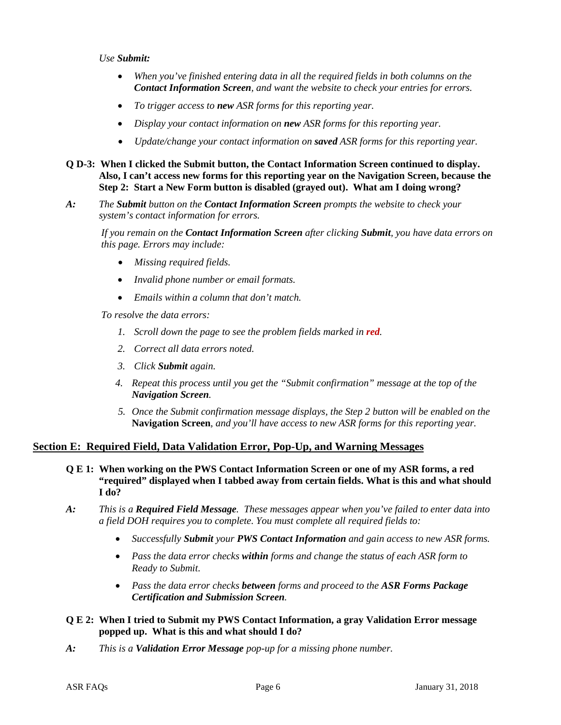#### *Use Submit:*

- *When you've finished entering data in all the required fields in both columns on the Contact Information Screen, and want the website to check your entries for errors.*
- *To trigger access to new ASR forms for this reporting year.*
- *Display your contact information on new ASR forms for this reporting year.*
- *Update/change your contact information on saved ASR forms for this reporting year.*
- **Q D-3: When I clicked the Submit button, the Contact Information Screen continued to display. Also, I can't access new forms for this reporting year on the Navigation Screen, because the Step 2: Start a New Form button is disabled (grayed out). What am I doing wrong?**
- *A: The Submit button on the Contact Information Screen prompts the website to check your system's contact information for errors.*

*If you remain on the Contact Information Screen after clicking Submit, you have data errors on this page. Errors may include:*

- *Missing required fields.*
- *Invalid phone number or email formats.*
- *Emails within a column that don't match.*

*To resolve the data errors:*

- *1. Scroll down the page to see the problem fields marked in red.*
- *2. Correct all data errors noted.*
- *3. Click Submit again.*
- *4. Repeat this process until you get the "Submit confirmation" message at the top of the Navigation Screen.*
- *5. Once the Submit confirmation message displays, the Step 2 button will be enabled on the* **Navigation Screen***, and you'll have access to new ASR forms for this reporting year.*

# **Section E: Required Field, Data Validation Error, Pop-Up, and Warning Messages**

- **Q E 1: When working on the PWS Contact Information Screen or one of my ASR forms, a red "required" displayed when I tabbed away from certain fields. What is this and what should I do?**
- *A: This is a Required Field Message. These messages appear when you've failed to enter data into a field DOH requires you to complete. You must complete all required fields to:*
	- *Successfully Submit your PWS Contact Information and gain access to new ASR forms.*
	- *Pass the data error checks within forms and change the status of each ASR form to Ready to Submit.*
	- *Pass the data error checks between forms and proceed to the ASR Forms Package Certification and Submission Screen.*

#### **Q E 2: When I tried to Submit my PWS Contact Information, a gray Validation Error message popped up. What is this and what should I do?**

*A: This is a Validation Error Message pop-up for a missing phone number.*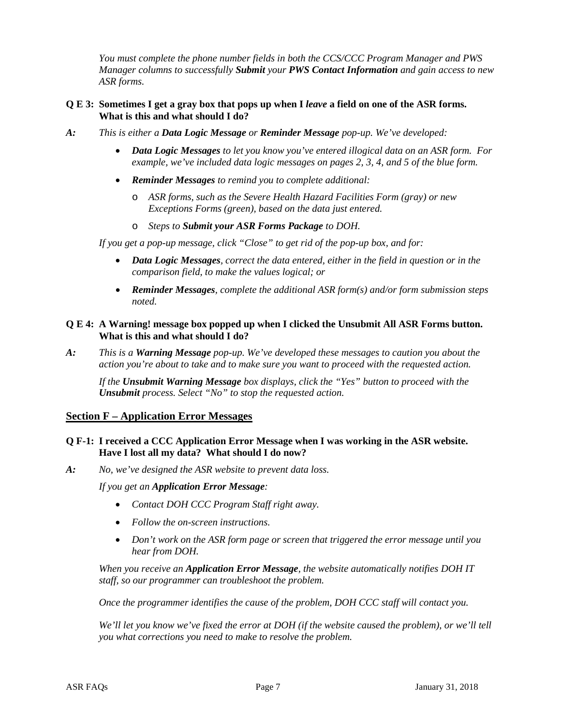*You must complete the phone number fields in both the CCS/CCC Program Manager and PWS Manager columns to successfully Submit your PWS Contact Information and gain access to new ASR forms.* 

#### **Q E 3: Sometimes I get a gray box that pops up when I** *leave* **a field on one of the ASR forms. What is this and what should I do?**

- *A: This is either a Data Logic Message or Reminder Message pop-up. We've developed:* 
	- *Data Logic Messages to let you know you've entered illogical data on an ASR form. For example, we've included data logic messages on pages 2, 3, 4, and 5 of the blue form.*
	- *Reminder Messages to remind you to complete additional:*
		- o *ASR forms, such as the Severe Health Hazard Facilities Form (gray) or new Exceptions Forms (green), based on the data just entered.*
		- o *Steps to Submit your ASR Forms Package to DOH.*

*If you get a pop-up message, click "Close" to get rid of the pop-up box, and for:*

- *Data Logic Messages, correct the data entered, either in the field in question or in the comparison field, to make the values logical; or*
- *Reminder Messages, complete the additional ASR form(s) and/or form submission steps noted.*

#### **Q E 4: A Warning! message box popped up when I clicked the Unsubmit All ASR Forms button. What is this and what should I do?**

*A: This is a Warning Message pop-up. We've developed these messages to caution you about the action you're about to take and to make sure you want to proceed with the requested action.*

*If the Unsubmit Warning Message box displays, click the "Yes" button to proceed with the Unsubmit process. Select "No" to stop the requested action.*

#### **Section F – Application Error Messages**

#### **Q F-1: I received a CCC Application Error Message when I was working in the ASR website. Have I lost all my data? What should I do now?**

*A: No, we've designed the ASR website to prevent data loss.* 

*If you get an Application Error Message:*

- *Contact DOH CCC Program Staff right away.*
- *Follow the on-screen instructions.*
- *Don't work on the ASR form page or screen that triggered the error message until you hear from DOH.*

*When you receive an Application Error Message, the website automatically notifies DOH IT staff, so our programmer can troubleshoot the problem.* 

*Once the programmer identifies the cause of the problem, DOH CCC staff will contact you.* 

*We'll let you know we've fixed the error at DOH (if the website caused the problem), or we'll tell you what corrections you need to make to resolve the problem.*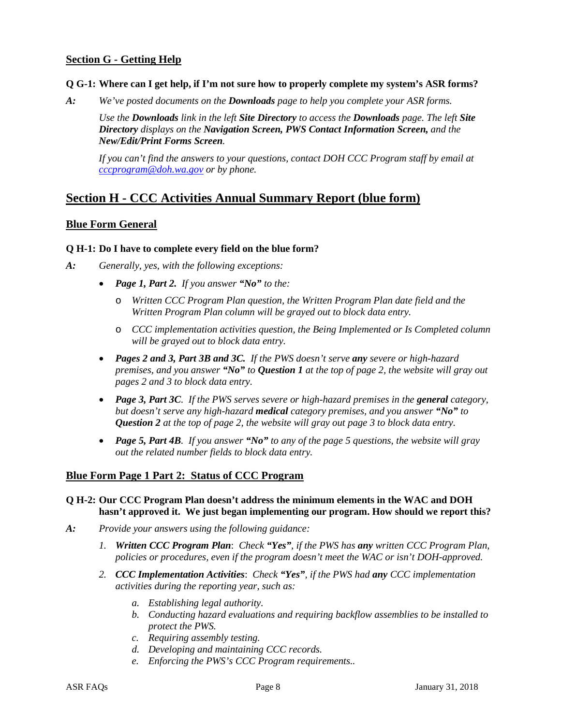# **Section G - Getting Help**

#### **Q G-1: Where can I get help, if I'm not sure how to properly complete my system's ASR forms?**

*A: We've posted documents on the Downloads page to help you complete your ASR forms.*

*Use the Downloads link in the left Site Directory to access the Downloads page. The left Site Directory displays on the Navigation Screen, PWS Contact Information Screen, and the New/Edit/Print Forms Screen.* 

*If you can't find the answers to your questions, contact DOH CCC Program staff by email at [cccprogram@doh.wa.gov](mailto:cccprogram@doh.wa.gov) or by phone.*

# **Section H - CCC Activities Annual Summary Report (blue form)**

## **Blue Form General**

#### **Q H-1: Do I have to complete every field on the blue form?**

- *A: Generally, yes, with the following exceptions:*
	- *Page 1, Part 2. If you answer "No" to the:*
		- o *Written CCC Program Plan question, the Written Program Plan date field and the Written Program Plan column will be grayed out to block data entry.*
		- o *CCC implementation activities question, the Being Implemented or Is Completed column will be grayed out to block data entry.*
	- *Pages 2 and 3, Part 3B and 3C. If the PWS doesn't serve any severe or high-hazard premises, and you answer "No" to Question 1 at the top of page 2, the website will gray out pages 2 and 3 to block data entry.*
	- *Page 3, Part 3C. If the PWS serves severe or high-hazard premises in the general category, but doesn't serve any high-hazard medical category premises, and you answer "No" to Question 2 at the top of page 2, the website will gray out page 3 to block data entry.*
	- *Page 5, Part 4B. If you answer "No" to any of the page 5 questions, the website will gray out the related number fields to block data entry.*

#### **Blue Form Page 1 Part 2: Status of CCC Program**

#### **Q H-2: Our CCC Program Plan doesn't address the minimum elements in the WAC and DOH hasn't approved it. We just began implementing our program. How should we report this?**

- *A: Provide your answers using the following guidance:*
	- *1. Written CCC Program Plan*: *Check "Yes", if the PWS has any written CCC Program Plan, policies or procedures, even if the program doesn't meet the WAC or isn't DOH-approved.*
	- *2. CCC Implementation Activities*: *Check "Yes", if the PWS had any CCC implementation activities during the reporting year, such as:*
		- *a. Establishing legal authority.*
		- *b. Conducting hazard evaluations and requiring backflow assemblies to be installed to protect the PWS.*
		- *c. Requiring assembly testing.*
		- *d. Developing and maintaining CCC records.*
		- *e. Enforcing the PWS's CCC Program requirements..*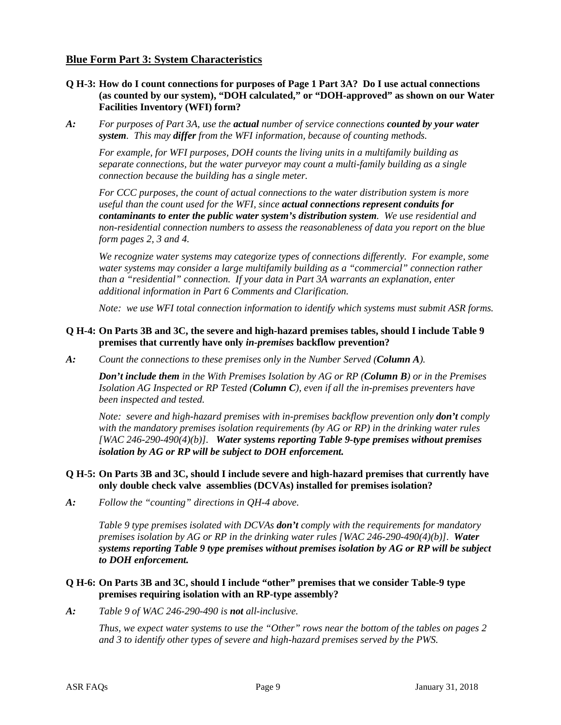## **Blue Form Part 3: System Characteristics**

- **Q H-3: How do I count connections for purposes of Page 1 Part 3A? Do I use actual connections (as counted by our system), "DOH calculated," or "DOH-approved" as shown on our Water Facilities Inventory (WFI) form?**
- *A: For purposes of Part 3A, use the actual number of service connections counted by your water system. This may differ from the WFI information, because of counting methods.*

*For example, for WFI purposes, DOH counts the living units in a multifamily building as separate connections, but the water purveyor may count a multi-family building as a single connection because the building has a single meter.*

*For CCC purposes, the count of actual connections to the water distribution system is more useful than the count used for the WFI, since actual connections represent conduits for contaminants to enter the public water system's distribution system. We use residential and non-residential connection numbers to assess the reasonableness of data you report on the blue form pages 2, 3 and 4.* 

*We recognize water systems may categorize types of connections differently. For example, some water systems may consider a large multifamily building as a "commercial" connection rather than a "residential" connection. If your data in Part 3A warrants an explanation, enter additional information in Part 6 Comments and Clarification.*

*Note: we use WFI total connection information to identify which systems must submit ASR forms.*

#### **Q H-4: On Parts 3B and 3C, the severe and high-hazard premises tables, should I include Table 9 premises that currently have only** *in-premises* **backflow prevention?**

*A: Count the connections to these premises only in the Number Served (Column A).* 

*Don't include them in the With Premises Isolation by AG or RP (Column B) or in the Premises Isolation AG Inspected or RP Tested (Column C), even if all the in-premises preventers have been inspected and tested.*

*Note: severe and high-hazard premises with in-premises backflow prevention only don't comply with the mandatory premises isolation requirements (by AG or RP) in the drinking water rules [WAC 246-290-490(4)(b)]. Water systems reporting Table 9-type premises without premises isolation by AG or RP will be subject to DOH enforcement.*

#### **Q H-5: On Parts 3B and 3C, should I include severe and high-hazard premises that currently have only double check valve assemblies (DCVAs) installed for premises isolation?**

*A: Follow the "counting" directions in QH-4 above.* 

*Table 9 type premises isolated with DCVAs don't comply with the requirements for mandatory premises isolation by AG or RP in the drinking water rules [WAC 246-290-490(4)(b)]. Water systems reporting Table 9 type premises without premises isolation by AG or RP will be subject to DOH enforcement.* 

#### **Q H-6: On Parts 3B and 3C, should I include "other" premises that we consider Table-9 type premises requiring isolation with an RP-type assembly?**

*A: Table 9 of WAC 246-290-490 is not all-inclusive.* 

*Thus, we expect water systems to use the "Other" rows near the bottom of the tables on pages 2 and 3 to identify other types of severe and high-hazard premises served by the PWS.*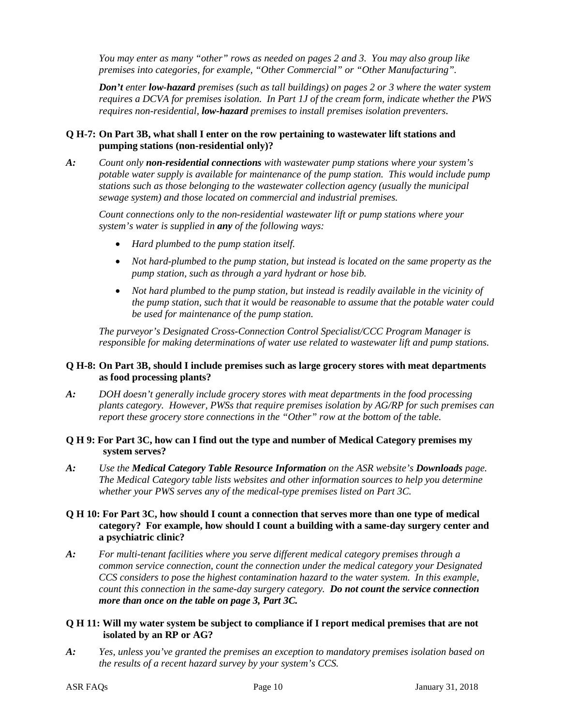*You may enter as many "other" rows as needed on pages 2 and 3. You may also group like premises into categories, for example, "Other Commercial" or "Other Manufacturing".*

*Don't enter low-hazard premises (such as tall buildings) on pages 2 or 3 where the water system requires a DCVA for premises isolation. In Part 1J of the cream form, indicate whether the PWS requires non-residential, low-hazard premises to install premises isolation preventers.*

## **Q H-7: On Part 3B, what shall I enter on the row pertaining to wastewater lift stations and pumping stations (non-residential only)?**

*A: Count only non-residential connections with wastewater pump stations where your system's potable water supply is available for maintenance of the pump station. This would include pump stations such as those belonging to the wastewater collection agency (usually the municipal sewage system) and those located on commercial and industrial premises.*

*Count connections only to the non-residential wastewater lift or pump stations where your system's water is supplied in any of the following ways:*

- *Hard plumbed to the pump station itself.*
- *Not hard-plumbed to the pump station, but instead is located on the same property as the pump station, such as through a yard hydrant or hose bib.*
- *Not hard plumbed to the pump station, but instead is readily available in the vicinity of the pump station, such that it would be reasonable to assume that the potable water could be used for maintenance of the pump station.*

*The purveyor's Designated Cross-Connection Control Specialist/CCC Program Manager is responsible for making determinations of water use related to wastewater lift and pump stations.*

### **Q H-8: On Part 3B, should I include premises such as large grocery stores with meat departments as food processing plants?**

*A: DOH doesn't generally include grocery stores with meat departments in the food processing plants category. However, PWSs that require premises isolation by AG/RP for such premises can report these grocery store connections in the "Other" row at the bottom of the table.*

#### **Q H 9: For Part 3C, how can I find out the type and number of Medical Category premises my system serves?**

*A: Use the Medical Category Table Resource Information on the ASR website's Downloads page. The Medical Category table lists websites and other information sources to help you determine whether your PWS serves any of the medical-type premises listed on Part 3C.*

## **Q H 10: For Part 3C, how should I count a connection that serves more than one type of medical category? For example, how should I count a building with a same-day surgery center and a psychiatric clinic?**

*A: For multi-tenant facilities where you serve different medical category premises through a common service connection, count the connection under the medical category your Designated CCS considers to pose the highest contamination hazard to the water system. In this example, count this connection in the same-day surgery category. Do not count the service connection more than once on the table on page 3, Part 3C.*

#### **Q H 11: Will my water system be subject to compliance if I report medical premises that are not isolated by an RP or AG?**

*A: Yes, unless you've granted the premises an exception to mandatory premises isolation based on the results of a recent hazard survey by your system's CCS.*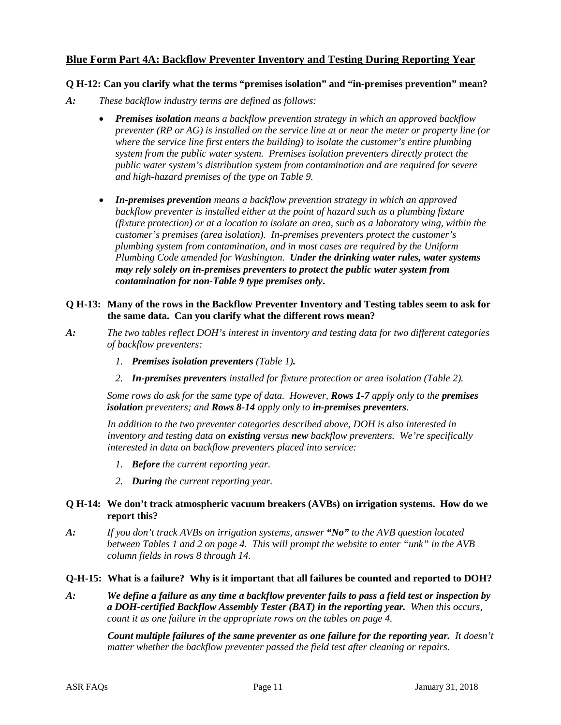# **Blue Form Part 4A: Backflow Preventer Inventory and Testing During Reporting Year**

#### **Q H-12: Can you clarify what the terms "premises isolation" and "in-premises prevention" mean?**

- *A: These backflow industry terms are defined as follows:*
	- *Premises isolation means a backflow prevention strategy in which an approved backflow preventer (RP or AG) is installed on the service line at or near the meter or property line (or where the service line first enters the building) to isolate the customer's entire plumbing system from the public water system. Premises isolation preventers directly protect the public water system's distribution system from contamination and are required for severe and high-hazard premises of the type on Table 9.*
	- *In-premises prevention means a backflow prevention strategy in which an approved backflow preventer is installed either at the point of hazard such as a plumbing fixture (fixture protection) or at a location to isolate an area, such as a laboratory wing, within the customer's premises (area isolation). In-premises preventers protect the customer's plumbing system from contamination, and in most cases are required by the Uniform Plumbing Code amended for Washington. Under the drinking water rules, water systems may rely solely on in-premises preventers to protect the public water system from contamination for non-Table 9 type premises only***.**

#### **Q H-13: Many of the rows in the Backflow Preventer Inventory and Testing tables seem to ask for the same data. Can you clarify what the different rows mean?**

- *A: The two tables reflect DOH's interest in inventory and testing data for two different categories of backflow preventers:* 
	- *1. Premises isolation preventers (Table 1).*
	- *2. In-premises preventers installed for fixture protection or area isolation (Table 2).*

*Some rows do ask for the same type of data. However, Rows 1-7 apply only to the premises isolation preventers; and Rows 8-14 apply only to in-premises preventers.* 

*In addition to the two preventer categories described above, DOH is also interested in inventory and testing data on existing versus new backflow preventers. We're specifically interested in data on backflow preventers placed into service:* 

- *1. Before the current reporting year.*
- *2. During the current reporting year.*

#### **Q H-14: We don't track atmospheric vacuum breakers (AVBs) on irrigation systems. How do we report this?**

*A: If you don't track AVBs on irrigation systems, answer "No" to the AVB question located between Tables 1 and 2 on page 4. This* w*ill prompt the website to enter "unk" in the AVB column fields in rows 8 through 14.*

#### **Q-H-15: What is a failure? Why is it important that all failures be counted and reported to DOH?**

*A: We define a failure as any time a backflow preventer fails to pass a field test or inspection by a DOH-certified Backflow Assembly Tester (BAT) in the reporting year. When this occurs, count it as one failure in the appropriate rows on the tables on page 4.*

*Count multiple failures of the same preventer as one failure for the reporting year. It doesn't matter whether the backflow preventer passed the field test after cleaning or repairs.*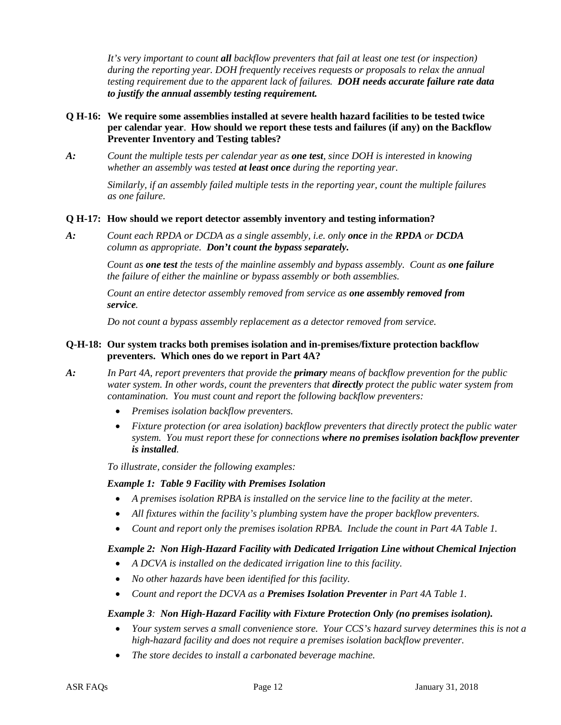*It's very important to count all backflow preventers that fail at least one test (or inspection) during the reporting year. DOH frequently receives requests or proposals to relax the annual testing requirement due to the apparent lack of failures. DOH needs accurate failure rate data to justify the annual assembly testing requirement.*

## **Q H-16: We require some assemblies installed at severe health hazard facilities to be tested twice per calendar year**. **How should we report these tests and failures (if any) on the Backflow Preventer Inventory and Testing tables?**

*A: Count the multiple tests per calendar year as one test, since DOH is interested in knowing whether an assembly was tested at least once during the reporting year.* 

> *Similarly, if an assembly failed multiple tests in the reporting year, count the multiple failures as one failure.*

## **Q H-17: How should we report detector assembly inventory and testing information?**

*A: Count each RPDA or DCDA as a single assembly, i.e. only once in the RPDA or DCDA column as appropriate. Don't count the bypass separately.* 

> *Count as one test the tests of the mainline assembly and bypass assembly. Count as one failure the failure of either the mainline or bypass assembly or both assemblies.*

*Count an entire detector assembly removed from service as one assembly removed from service.* 

*Do not count a bypass assembly replacement as a detector removed from service.*

## **Q-H-18: Our system tracks both premises isolation and in-premises/fixture protection backflow preventers. Which ones do we report in Part 4A?**

- *A: In Part 4A, report preventers that provide the primary means of backflow prevention for the public water system. In other words, count the preventers that directly protect the public water system from contamination. You must count and report the following backflow preventers:*
	- *Premises isolation backflow preventers.*
	- *Fixture protection (or area isolation) backflow preventers that directly protect the public water system. You must report these for connections where no premises isolation backflow preventer is installed.*

*To illustrate, consider the following examples:*

#### *Example 1: Table 9 Facility with Premises Isolation*

- *A premises isolation RPBA is installed on the service line to the facility at the meter.*
- *All fixtures within the facility's plumbing system have the proper backflow preventers.*
- Count and report only the premises isolation RPBA. Include the count in Part 4A Table 1.

# *Example 2: Non High-Hazard Facility with Dedicated Irrigation Line without Chemical Injection*

- *A DCVA is installed on the dedicated irrigation line to this facility.*
- *No other hazards have been identified for this facility.*
- *Count and report the DCVA as a Premises Isolation Preventer in Part 4A Table 1.*

#### *Example 3: Non High-Hazard Facility with Fixture Protection Only (no premises isolation).*

- *Your system serves a small convenience store. Your CCS's hazard survey determines this is not a high-hazard facility and does not require a premises isolation backflow preventer.*
- *The store decides to install a carbonated beverage machine.*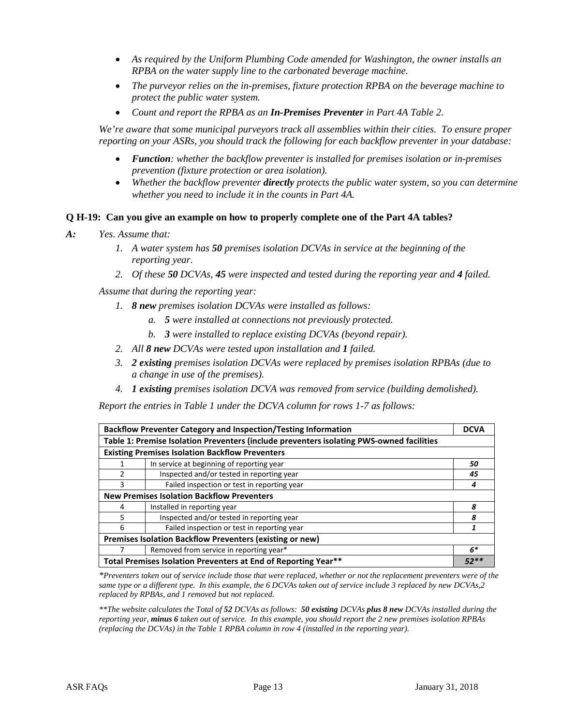- *As required by the Uniform Plumbing Code amended for Washington, the owner installs an RPBA on the water supply line to the carbonated beverage machine.*
- *The purveyor relies on the in-premises, fixture protection RPBA on the beverage machine to protect the public water system.*
- *Count and report the RPBA as an In-Premises Preventer in Part 4A Table 2.*

*We're aware that some municipal purveyors track all assemblies within their cities. To ensure proper reporting on your ASRs, you should track the following for each backflow preventer in your database:*

- *Function: whether the backflow preventer is installed for premises isolation or in-premises prevention (fixture protection or area isolation).*
- *Whether the backflow preventer directly protects the public water system, so you can determine whether you need to include it in the counts in Part 4A.*

## **Q H-19: Can you give an example on how to properly complete one of the Part 4A tables?**

*A: Yes. Assume that:* 

- *1. A water system has 50 premises isolation DCVAs in service at the beginning of the reporting year.*
- *2. Of these 50 DCVAs, 45 were inspected and tested during the reporting year and 4 failed.*

*Assume that during the reporting year:*

- *1. 8 new premises isolation DCVAs were installed as follows:*
	- *a. 5 were installed at connections not previously protected.*
	- *b. 3 were installed to replace existing DCVAs (beyond repair).*
- *2. All 8 new DCVAs were tested upon installation and 1 failed.*
- *3. 2 existing premises isolation DCVAs were replaced by premises isolation RPBAs (due to a change in use of the premises).*
- *4. 1 existing premises isolation DCVA was removed from service (building demolished).*

*Report the entries in Table 1 under the DCVA column for rows 1-7 as follows:*

|                                                                                          | <b>Backflow Preventer Category and Inspection/Testing Information</b> | <b>DCVA</b> |  |  |
|------------------------------------------------------------------------------------------|-----------------------------------------------------------------------|-------------|--|--|
| Table 1: Premise Isolation Preventers (include preventers isolating PWS-owned facilities |                                                                       |             |  |  |
| <b>Existing Premises Isolation Backflow Preventers</b>                                   |                                                                       |             |  |  |
|                                                                                          | In service at beginning of reporting year                             | 50          |  |  |
| $\mathcal{P}$                                                                            | Inspected and/or tested in reporting year                             | 45          |  |  |
| 3                                                                                        | Failed inspection or test in reporting year                           | 4           |  |  |
| <b>New Premises Isolation Backflow Preventers</b>                                        |                                                                       |             |  |  |
| 4                                                                                        | Installed in reporting year                                           | 8           |  |  |
| 5                                                                                        | Inspected and/or tested in reporting year                             | 8           |  |  |
| 6                                                                                        | Failed inspection or test in reporting year                           | 1           |  |  |
| Premises Isolation Backflow Preventers (existing or new)                                 |                                                                       |             |  |  |
|                                                                                          | Removed from service in reporting year*                               | $6*$        |  |  |
| Total Premises Isolation Preventers at End of Reporting Year**                           |                                                                       | $52**$      |  |  |

*\*Preventers taken out of service include those that were replaced, whether or not the replacement preventers were of the same type or a different type. In this example, the 6 DCVAs taken out of service include 3 replaced by new DCVAs,2 replaced by RPBAs, and 1 removed but not replaced.*

*\*\*The website calculates the Total of 52 DCVAs as follows: 50 existing DCVAs plus 8 new DCVAs installed during the reporting year, minus 6 taken out of service. In this example, you should report the 2 new premises isolation RPBAs (replacing the DCVAs) in the Table 1 RPBA column in row 4 (installed in the reporting year).*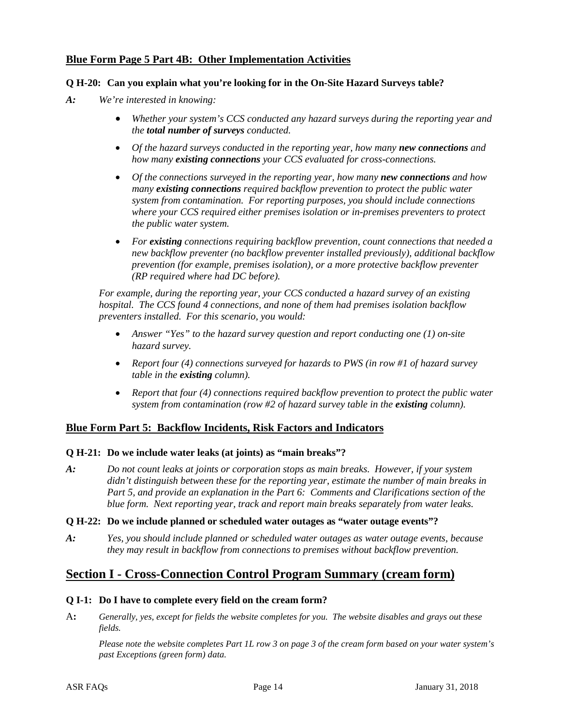# **Blue Form Page 5 Part 4B: Other Implementation Activities**

#### **Q H-20: Can you explain what you're looking for in the On-Site Hazard Surveys table?**

- *A: We're interested in knowing:*
	- *Whether your system's CCS conducted any hazard surveys during the reporting year and the total number of surveys conducted.*
	- *Of the hazard surveys conducted in the reporting year, how many new connections and how many existing connections your CCS evaluated for cross-connections.*
	- *Of the connections surveyed in the reporting year, how many new connections and how many existing connections required backflow prevention to protect the public water system from contamination. For reporting purposes, you should include connections where your CCS required either premises isolation or in-premises preventers to protect the public water system.*
	- *For existing connections requiring backflow prevention, count connections that needed a new backflow preventer (no backflow preventer installed previously), additional backflow prevention (for example, premises isolation), or a more protective backflow preventer (RP required where had DC before).*

*For example, during the reporting year, your CCS conducted a hazard survey of an existing hospital. The CCS found 4 connections, and none of them had premises isolation backflow preventers installed. For this scenario, you would:*

- *Answer "Yes" to the hazard survey question and report conducting one (1) on-site hazard survey.*
- *Report four (4) connections surveyed for hazards to PWS (in row #1 of hazard survey table in the existing column).*
- *Report that four (4) connections required backflow prevention to protect the public water system from contamination (row #2 of hazard survey table in the existing column).*

#### **Blue Form Part 5: Backflow Incidents, Risk Factors and Indicators**

#### **Q H-21: Do we include water leaks (at joints) as "main breaks"?**

*A: Do not count leaks at joints or corporation stops as main breaks. However, if your system didn't distinguish between these for the reporting year, estimate the number of main breaks in Part 5, and provide an explanation in the Part 6: Comments and Clarifications section of the blue form. Next reporting year, track and report main breaks separately from water leaks.*

#### **Q H-22: Do we include planned or scheduled water outages as "water outage events"?**

*A: Yes, you should include planned or scheduled water outages as water outage events, because they may result in backflow from connections to premises without backflow prevention.*

# **Section I - Cross-Connection Control Program Summary (cream form)**

#### **Q I-1: Do I have to complete every field on the cream form?**

A**:** *Generally, yes, except for fields the website completes for you. The website disables and grays out these fields.*

*Please note the website completes Part 1L row 3 on page 3 of the cream form based on your water system's past Exceptions (green form) data.*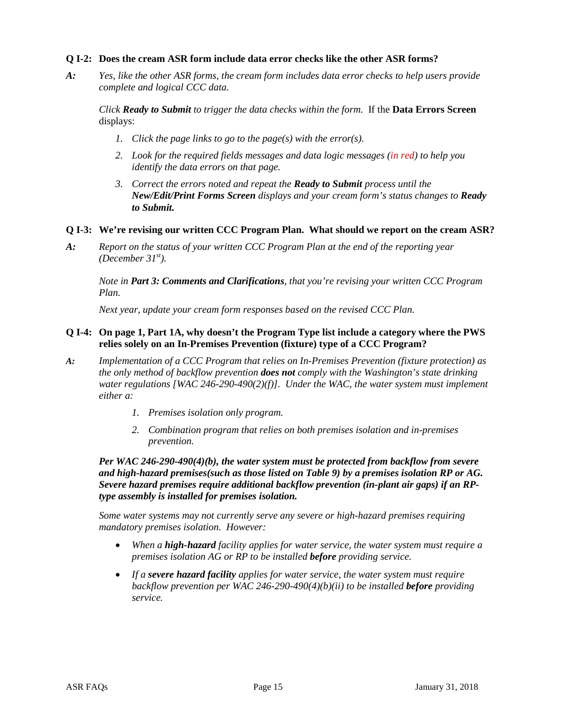#### **Q I-2: Does the cream ASR form include data error checks like the other ASR forms?**

*A: Yes, like the other ASR forms, the cream form includes data error checks to help users provide complete and logical CCC data.* 

*Click Ready to Submit to trigger the data checks within the form.* If the **Data Errors Screen** displays:

- *1. Click the page links to go to the page(s) with the error(s).*
- *2. Look for the required fields messages and data logic messages (in red) to help you identify the data errors on that page.*
- *3. Correct the errors noted and repeat the Ready to Submit process until the New/Edit/Print Forms Screen displays and your cream form's status changes to Ready to Submit.*
- **Q I-3: We're revising our written CCC Program Plan. What should we report on the cream ASR?**
- *A: Report on the status of your written CCC Program Plan at the end of the reporting year (December 31st).*

*Note in Part 3: Comments and Clarifications, that you're revising your written CCC Program Plan.* 

*Next year, update your cream form responses based on the revised CCC Plan.*

#### **Q I-4: On page 1, Part 1A, why doesn't the Program Type list include a category where the PWS relies solely on an In-Premises Prevention (fixture) type of a CCC Program?**

- *A: Implementation of a CCC Program that relies on In-Premises Prevention (fixture protection) as the only method of backflow prevention does not comply with the Washington's state drinking water regulations [WAC 246-290-490(2)(f)]. Under the WAC, the water system must implement either a:*
	- *1. Premises isolation only program.*
	- *2. Combination program that relies on both premises isolation and in-premises prevention.*

*Per WAC 246-290-490(4)(b), the water system must be protected from backflow from severe and high-hazard premises(such as those listed on Table 9) by a premises isolation RP or AG. Severe hazard premises require additional backflow prevention (in-plant air gaps) if an RPtype assembly is installed for premises isolation.*

*Some water systems may not currently serve any severe or high-hazard premises requiring mandatory premises isolation. However:*

- *When a high-hazard facility applies for water service, the water system must require a premises isolation AG or RP to be installed before providing service.*
- *If a severe hazard facility applies for water service, the water system must require backflow prevention per WAC 246-290-490(4)(b)(ii) to be installed before providing service.*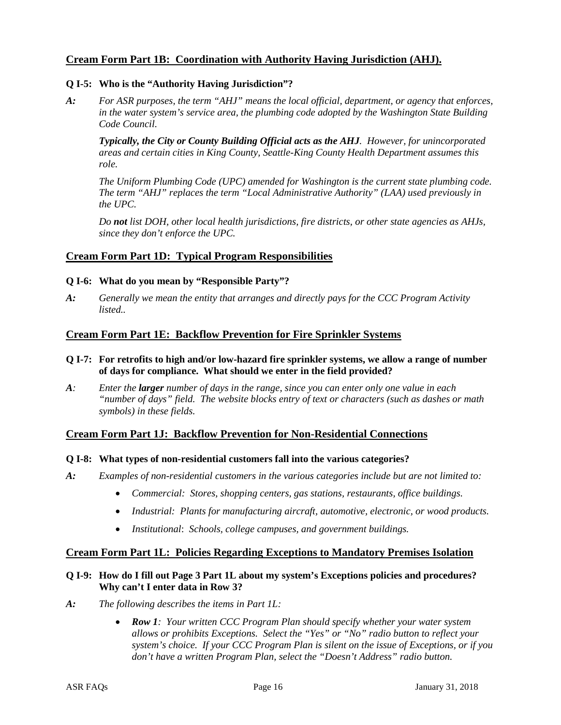# **Cream Form Part 1B: Coordination with Authority Having Jurisdiction (AHJ).**

### **Q I-5: Who is the "Authority Having Jurisdiction"?**

*A: For ASR purposes, the term "AHJ" means the local official, department, or agency that enforces, in the water system's service area, the plumbing code adopted by the Washington State Building Code Council.* 

*Typically, the City or County Building Official acts as the AHJ. However, for unincorporated areas and certain cities in King County, Seattle-King County Health Department assumes this role.* 

*The Uniform Plumbing Code (UPC) amended for Washington is the current state plumbing code. The term "AHJ" replaces the term "Local Administrative Authority" (LAA) used previously in the UPC.* 

*Do not list DOH, other local health jurisdictions, fire districts, or other state agencies as AHJs, since they don't enforce the UPC.*

## **Cream Form Part 1D: Typical Program Responsibilities**

#### **Q I-6: What do you mean by "Responsible Party"?**

*A: Generally we mean the entity that arranges and directly pays for the CCC Program Activity listed..*

# **Cream Form Part 1E: Backflow Prevention for Fire Sprinkler Systems**

- **Q I-7: For retrofits to high and/or low-hazard fire sprinkler systems, we allow a range of number of days for compliance. What should we enter in the field provided?**
- *A: Enter the larger number of days in the range, since you can enter only one value in each "number of days" field. The website blocks entry of text or characters (such as dashes or math symbols) in these fields.*

# **Cream Form Part 1J: Backflow Prevention for Non-Residential Connections**

#### **Q I-8: What types of non-residential customers fall into the various categories?**

- *A: Examples of non-residential customers in the various categories include but are not limited to:*
	- *Commercial: Stores, shopping centers, gas stations, restaurants, office buildings.*
	- *Industrial: Plants for manufacturing aircraft, automotive, electronic, or wood products.*
	- *Institutional*: *Schools, college campuses, and government buildings.*

#### **Cream Form Part 1L: Policies Regarding Exceptions to Mandatory Premises Isolation**

#### **Q I-9: How do I fill out Page 3 Part 1L about my system's Exceptions policies and procedures? Why can't I enter data in Row 3?**

- *A: The following describes the items in Part 1L:*
	- *Row 1: Your written CCC Program Plan should specify whether your water system allows or prohibits Exceptions. Select the "Yes" or "No" radio button to reflect your system's choice. If your CCC Program Plan is silent on the issue of Exceptions, or if you don't have a written Program Plan, select the "Doesn't Address" radio button.*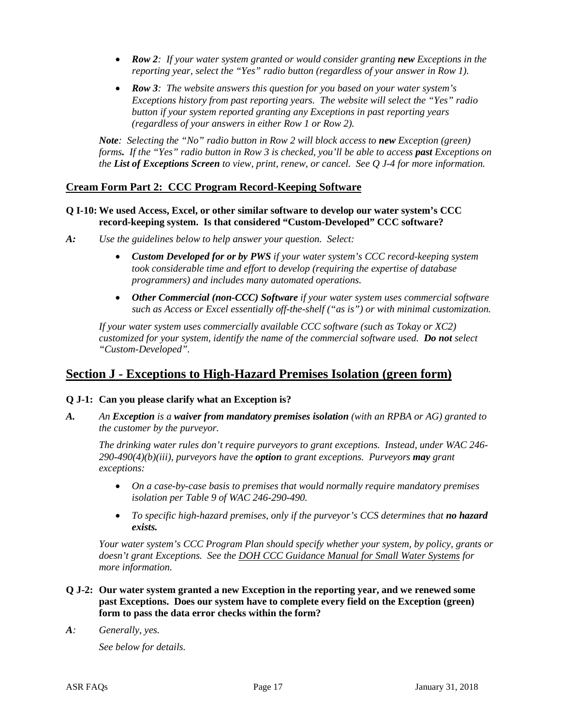- *Row 2: If your water system granted or would consider granting new Exceptions in the reporting year, select the "Yes" radio button (regardless of your answer in Row 1).*
- *Row 3: The website answers this question for you based on your water system's Exceptions history from past reporting years. The website will select the "Yes" radio button if your system reported granting any Exceptions in past reporting years (regardless of your answers in either Row 1 or Row 2).*

*Note: Selecting the "No" radio button in Row 2 will block access to new Exception (green) forms. If the "Yes" radio button in Row 3 is checked, you'll be able to access past Exceptions on the List of Exceptions Screen to view, print, renew, or cancel. See Q J-4 for more information.*

# **Cream Form Part 2: CCC Program Record-Keeping Software**

#### **Q I-10: We used Access, Excel, or other similar software to develop our water system's CCC record-keeping system. Is that considered "Custom-Developed" CCC software?**

- *A: Use the guidelines below to help answer your question. Select:*
	- *Custom Developed for or by PWS if your water system's CCC record-keeping system took considerable time and effort to develop (requiring the expertise of database programmers) and includes many automated operations.*
	- *Other Commercial (non-CCC) Software if your water system uses commercial software such as Access or Excel essentially off-the-shelf ("as is") or with minimal customization.*

*If your water system uses commercially available CCC software (such as Tokay or XC2) customized for your system, identify the name of the commercial software used. Do not select "Custom-Developed".*

# **Section J - Exceptions to High-Hazard Premises Isolation (green form)**

# **Q J-1: Can you please clarify what an Exception is?**

*A. An Exception is a waiver from mandatory premises isolation (with an RPBA or AG) granted to the customer by the purveyor.* 

*The drinking water rules don't require purveyors to grant exceptions. Instead, under WAC 246- 290-490(4)(b)(iii), purveyors have the option to grant exceptions. Purveyors may grant exceptions:*

- *On a case-by-case basis to premises that would normally require mandatory premises isolation per Table 9 of WAC 246-290-490.*
- To specific high-hazard premises, only if the purveyor's CCS determines that **no hazard** *exists.*

*Your water system's CCC Program Plan should specify whether your system, by policy, grants or doesn't grant Exceptions. See the DOH CCC Guidance Manual for Small Water Systems for more information.*

- **Q J-2: Our water system granted a new Exception in the reporting year, and we renewed some past Exceptions. Does our system have to complete every field on the Exception (green) form to pass the data error checks within the form?**
- *A: Generally, yes.*

*See below for details.*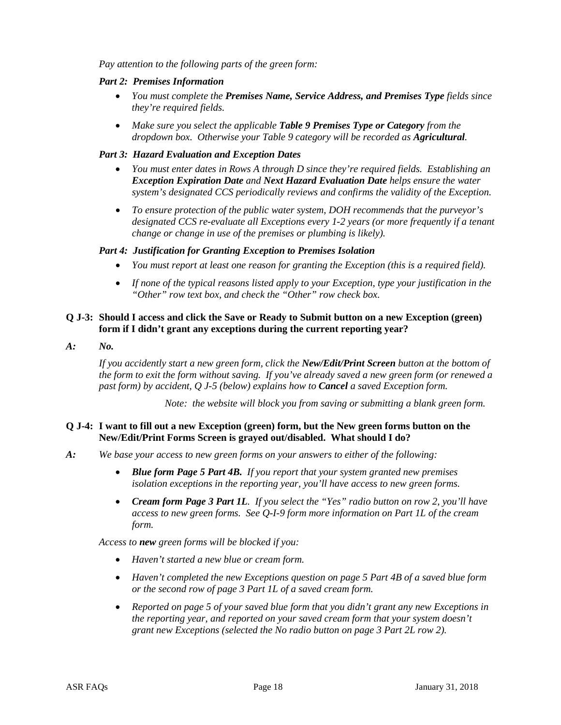*Pay attention to the following parts of the green form:* 

#### *Part 2: Premises Information*

- *You must complete the Premises Name, Service Address, and Premises Type fields since they're required fields.*
- *Make sure you select the applicable Table 9 Premises Type or Category from the dropdown box. Otherwise your Table 9 category will be recorded as Agricultural.*

#### *Part 3: Hazard Evaluation and Exception Dates*

- *You must enter dates in Rows A through D since they're required fields. Establishing an Exception Expiration Date and Next Hazard Evaluation Date helps ensure the water system's designated CCS periodically reviews and confirms the validity of the Exception.*
- *To ensure protection of the public water system, DOH recommends that the purveyor's designated CCS re-evaluate all Exceptions every 1-2 years (or more frequently if a tenant change or change in use of the premises or plumbing is likely).*

#### *Part 4: Justification for Granting Exception to Premises Isolation*

- *You must report at least one reason for granting the Exception (this is a required field).*
- *If none of the typical reasons listed apply to your Exception, type your justification in the "Other" row text box, and check the "Other" row check box.*

#### **Q J-3: Should I access and click the Save or Ready to Submit button on a new Exception (green) form if I didn't grant any exceptions during the current reporting year?**

*A: No.* 

*If you accidently start a new green form, click the New/Edit/Print Screen button at the bottom of the form to exit the form without saving. If you've already saved a new green form (or renewed a past form) by accident, Q J-5 (below) explains how to Cancel a saved Exception form.*

*Note: the website will block you from saving or submitting a blank green form.* 

#### **Q J-4: I want to fill out a new Exception (green) form, but the New green forms button on the New/Edit/Print Forms Screen is grayed out/disabled. What should I do?**

- *A: We base your access to new green forms on your answers to either of the following:*
	- *Blue form Page 5 Part 4B. If you report that your system granted new premises isolation exceptions in the reporting year, you'll have access to new green forms.*
	- *Cream form Page 3 Part 1L. If you select the "Yes" radio button on row 2, you'll have access to new green forms. See Q-I-9 form more information on Part 1L of the cream form.*

*Access to new green forms will be blocked if you:*

- *Haven't started a new blue or cream form.*
- *Haven't completed the new Exceptions question on page 5 Part 4B of a saved blue form or the second row of page 3 Part 1L of a saved cream form.*
- *Reported on page 5 of your saved blue form that you didn't grant any new Exceptions in the reporting year, and reported on your saved cream form that your system doesn't grant new Exceptions (selected the No radio button on page 3 Part 2L row 2).*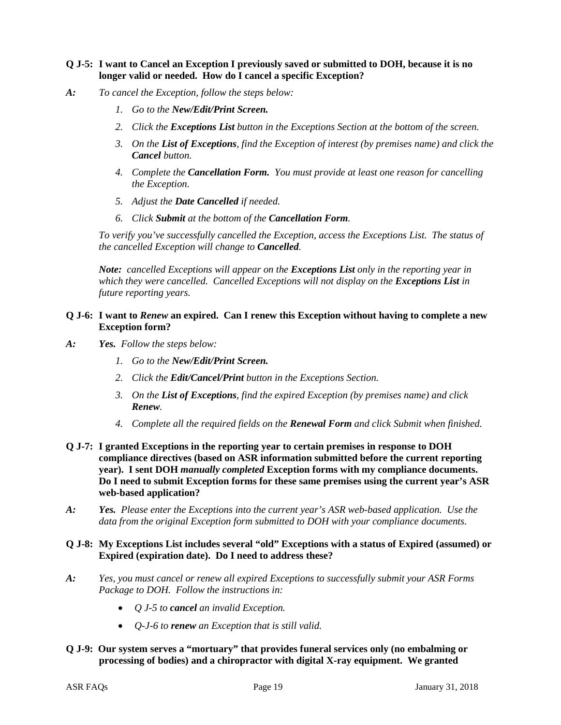### **Q J-5: I want to Cancel an Exception I previously saved or submitted to DOH, because it is no longer valid or needed. How do I cancel a specific Exception?**

- *A: To cancel the Exception, follow the steps below:*
	- *1. Go to the New/Edit/Print Screen.*
	- *2. Click the Exceptions List button in the Exceptions Section at the bottom of the screen.*
	- *3. On the List of Exceptions, find the Exception of interest (by premises name) and click the Cancel button.*
	- *4. Complete the Cancellation Form. You must provide at least one reason for cancelling the Exception.*
	- *5. Adjust the Date Cancelled if needed.*
	- *6. Click Submit at the bottom of the Cancellation Form.*

*To verify you've successfully cancelled the Exception, access the Exceptions List. The status of the cancelled Exception will change to Cancelled.* 

*Note: cancelled Exceptions will appear on the Exceptions List only in the reporting year in which they were cancelled. Cancelled Exceptions will not display on the Exceptions List in future reporting years.* 

#### **Q J-6: I want to** *Renew* **an expired. Can I renew this Exception without having to complete a new Exception form?**

- *A: Yes. Follow the steps below:*
	- *1. Go to the New/Edit/Print Screen.*
	- *2. Click the Edit/Cancel/Print button in the Exceptions Section.*
	- *3. On the List of Exceptions, find the expired Exception (by premises name) and click Renew.*
	- *4. Complete all the required fields on the Renewal Form and click Submit when finished.*
- **Q J-7: I granted Exceptions in the reporting year to certain premises in response to DOH compliance directives (based on ASR information submitted before the current reporting year). I sent DOH** *manually completed* **Exception forms with my compliance documents. Do I need to submit Exception forms for these same premises using the current year's ASR web-based application?**
- *A: Yes. Please enter the Exceptions into the current year's ASR web-based application. Use the data from the original Exception form submitted to DOH with your compliance documents.*

#### **Q J-8: My Exceptions List includes several "old" Exceptions with a status of Expired (assumed) or Expired (expiration date). Do I need to address these?**

- *A: Yes, you must cancel or renew all expired Exceptions to successfully submit your ASR Forms Package to DOH. Follow the instructions in:*
	- *Q J-5 to cancel an invalid Exception.*
	- *Q-J-6 to renew an Exception that is still valid.*
- **Q J-9: Our system serves a "mortuary" that provides funeral services only (no embalming or processing of bodies) and a chiropractor with digital X-ray equipment. We granted**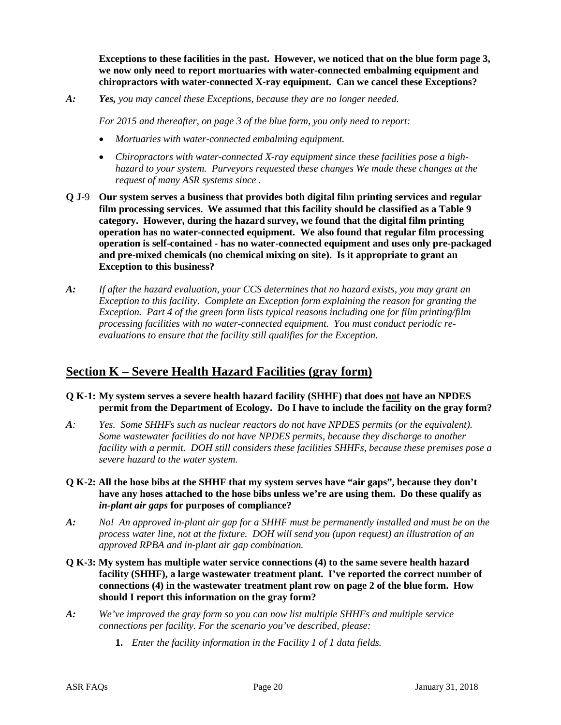**Exceptions to these facilities in the past. However, we noticed that on the blue form page 3, we now only need to report mortuaries with water-connected embalming equipment and chiropractors with water-connected X-ray equipment. Can we cancel these Exceptions?**

*A: Yes, you may cancel these Exceptions, because they are no longer needed.* 

*For 2015 and thereafter, on page 3 of the blue form, you only need to report:*

- *Mortuaries with water-connected embalming equipment.*
- *Chiropractors with water-connected X-ray equipment since these facilities pose a highhazard to your system. Purveyors requested these changes We made these changes at the request of many ASR systems since .*
- **Q J-**9 **Our system serves a business that provides both digital film printing services and regular film processing services. We assumed that this facility should be classified as a Table 9 category. However, during the hazard survey, we found that the digital film printing operation has no water-connected equipment. We also found that regular film processing operation is self-contained - has no water-connected equipment and uses only pre-packaged and pre-mixed chemicals (no chemical mixing on site). Is it appropriate to grant an Exception to this business?**
- *A: If after the hazard evaluation, your CCS determines that no hazard exists, you may grant an Exception to this facility. Complete an Exception form explaining the reason for granting the Exception. Part 4 of the green form lists typical reasons including one for film printing/film processing facilities with no water-connected equipment. You must conduct periodic reevaluations to ensure that the facility still qualifies for the Exception.*

# **Section K – Severe Health Hazard Facilities (gray form)**

- **Q K-1: My system serves a severe health hazard facility (SHHF) that does not have an NPDES permit from the Department of Ecology. Do I have to include the facility on the gray form?**
- *A: Yes. Some SHHFs such as nuclear reactors do not have NPDES permits (or the equivalent). Some wastewater facilities do not have NPDES permits, because they discharge to another facility with a permit. DOH still considers these facilities SHHFs, because these premises pose a severe hazard to the water system.*
- **Q K-2: All the hose bibs at the SHHF that my system serves have "air gaps", because they don't have any hoses attached to the hose bibs unless we're are using them. Do these qualify as**  *in-plant air gaps* **for purposes of compliance?**
- *A: No! An approved in-plant air gap for a SHHF must be permanently installed and must be on the process water line, not at the fixture. DOH will send you (upon request) an illustration of an approved RPBA and in-plant air gap combination.*
- **Q K-3: My system has multiple water service connections (4) to the same severe health hazard facility (SHHF), a large wastewater treatment plant. I've reported the correct number of connections (4) in the wastewater treatment plant row on page 2 of the blue form. How should I report this information on the gray form?**
- *A: We've improved the gray form so you can now list multiple SHHFs and multiple service connections per facility. For the scenario you've described, please:*
	- **1.** *Enter the facility information in the Facility 1 of 1 data fields.*